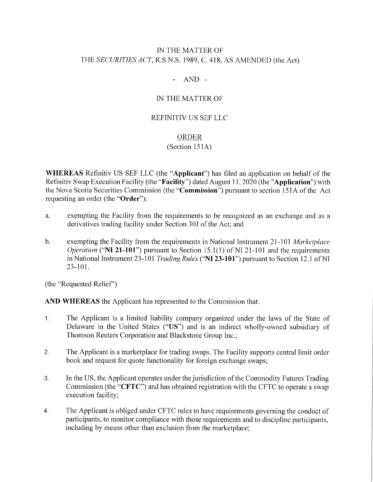# IN THE MATTER OF THE SECURITIES ACT, R.S.N.S. 1989, C. 418, AS AMENDED (the Act)

 $\mathbf{r}$  $AND -$ 

## IN THE MATTER OF

#### REFINITIV US SEF LLC

#### ORDER

#### $(Section 151A)$

WHEREAS Refinitiv US SEF LLC (the "Applicant") has filed an application on behalf of the Refinitiv Swap Execution Facility (the "Facility") dated August 11, 2020 (the "Application") with the Nova Scotia Securities Commission (the "Commission'') pursuant to section 151A of the Act requesting an order (the "Order"):

- a. exempting the Facility from the requirements to be recognized as an exchange and as a derivatives trading facility under Section 30J of the Act; and
- b. exempting the Facility from the requirements in National Instrument 21-101 Marketplace Operation ("NI 21-101") pursuant to Section 15.1(1) of N1 21-101 and the requirements in National Instrument 23-101 *Trading Rules* ("NI 23-101") pursuant to Section 12.1 of NI 23-101.

(the "Requested Relief")

AND WHEREAS the Applicant has represented to the Commission that:

- 1. The Applicant is a limited liability company organized under the laws of the State of Delaware in the United States ("US") and is an indirect wholly-owned subsidiary of Thomson Reuters Corporation and Blackstone Group Inc.;
- 2. The Applicant is a marketplace for trading swaps. The Facility supports central limit order book and request for quote functionality for foreign exchange swaps;
- 3. In the US, the Applicant operates under the jurisdiction of the Commodity Futures Trading Commission (the "CFTC") and has obtained registration with the CFTC to operate a swap execution facility;
- 4. The Applicant is obliged under CFTC rules to have requirements governing the conduct of participants, to monitor compliance with those requirements and to discipline participants, including by means other than exclusion from the marketplace;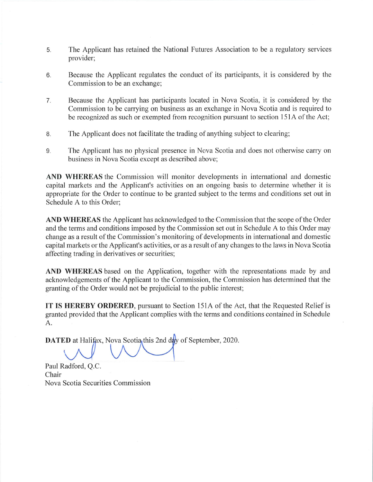- 5. The Applicant has retained the National Futures Association to be a regulatory services provider;
- 6. Because the Applicant regulates the conduct of its participants, it is considered by the Commission to be an exchange;
- 7. Because the Applicant has participants located in Nova Scotia, it is considered by the Commission to be carrying on business as an exchange in Nova Scotia and is required to be recognized as such or exempted from recognition pursuant to section 151A of the Act;
- 8. The Applicant does not facilitate the trading of anything subject to clearing;
- 9. The Applicant has no physical presence in Nova Scotia and does not otherwise carry on business in Nova Scotia except as described above;

AND WHEREAS the Commission will monitor developments in international and domestic capital markets and the Applicant's activities on an ongoing basis to determine whether it is appropriate for the Order to continue to be granted subject to the terms and conditions set out in Schedule A to this Order;

AND WHEREAS the Applicant has acknowledged to the Commission that the scope of the Order and the terms and conditions imposed by the Commission set out in Schedule A to this Order may change as a result of the Commission's monitoring of developments in international and domestic capital markets or the Applicant's activities, or as a result of any changes to the laws in Nova Scotia affecting trading in derivatives or securities;

AND WHEREAS based on the Application, together with the representations made by and acknowledgements of the Applicant to the Commission, the Commission has determined that the granting of the Order would not be prejudicial to the public interest;

IT IS HEREBY ORDERED, pursuant to Section 151A of the Act, that the Requested Relief is granted provided that the Applicant complies with the terms and conditions contained in Schedule A.

DATED at Halifax, Nova Scotia this 2nd day of September, 2020.

 $\Lambda$   $\Lambda$   $\Lambda$   $\Lambda$ 

Paul Radford, Q.C. Chair Nova Scotia Securities Commission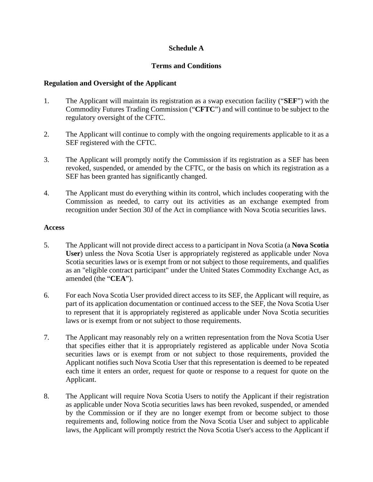## **Schedule A**

## **Terms and Conditions**

### **Regulation and Oversight of the Applicant**

- 1. The Applicant will maintain its registration as a swap execution facility ("**SEF**") with the Commodity Futures Trading Commission ("**CFTC**") and will continue to be subject to the regulatory oversight of the CFTC.
- 2. The Applicant will continue to comply with the ongoing requirements applicable to it as a SEF registered with the CFTC.
- 3. The Applicant will promptly notify the Commission if its registration as a SEF has been revoked, suspended, or amended by the CFTC, or the basis on which its registration as a SEF has been granted has significantly changed.
- 4. The Applicant must do everything within its control, which includes cooperating with the Commission as needed, to carry out its activities as an exchange exempted from recognition under Section 30J of the Act in compliance with Nova Scotia securities laws.

#### **Access**

- 5. The Applicant will not provide direct access to a participant in Nova Scotia (a **Nova Scotia User**) unless the Nova Scotia User is appropriately registered as applicable under Nova Scotia securities laws or is exempt from or not subject to those requirements, and qualifies as an "eligible contract participant" under the United States Commodity Exchange Act, as amended (the "**CEA**").
- 6. For each Nova Scotia User provided direct access to its SEF, the Applicant will require, as part of its application documentation or continued access to the SEF, the Nova Scotia User to represent that it is appropriately registered as applicable under Nova Scotia securities laws or is exempt from or not subject to those requirements.
- 7. The Applicant may reasonably rely on a written representation from the Nova Scotia User that specifies either that it is appropriately registered as applicable under Nova Scotia securities laws or is exempt from or not subject to those requirements, provided the Applicant notifies such Nova Scotia User that this representation is deemed to be repeated each time it enters an order, request for quote or response to a request for quote on the Applicant.
- 8. The Applicant will require Nova Scotia Users to notify the Applicant if their registration as applicable under Nova Scotia securities laws has been revoked, suspended, or amended by the Commission or if they are no longer exempt from or become subject to those requirements and, following notice from the Nova Scotia User and subject to applicable laws, the Applicant will promptly restrict the Nova Scotia User's access to the Applicant if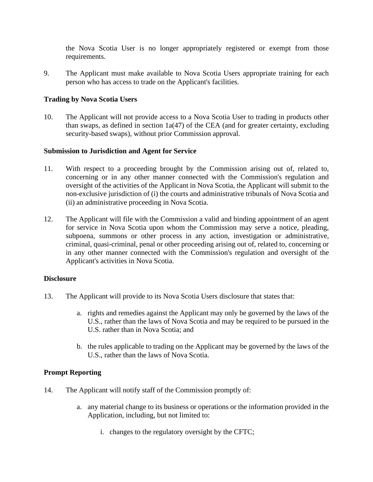the Nova Scotia User is no longer appropriately registered or exempt from those requirements.

9. The Applicant must make available to Nova Scotia Users appropriate training for each person who has access to trade on the Applicant's facilities.

## **Trading by Nova Scotia Users**

10. The Applicant will not provide access to a Nova Scotia User to trading in products other than swaps, as defined in section 1a(47) of the CEA (and for greater certainty, excluding security-based swaps), without prior Commission approval.

## **Submission to Jurisdiction and Agent for Service**

- 11. With respect to a proceeding brought by the Commission arising out of, related to, concerning or in any other manner connected with the Commission's regulation and oversight of the activities of the Applicant in Nova Scotia, the Applicant will submit to the non-exclusive jurisdiction of (i) the courts and administrative tribunals of Nova Scotia and (ii) an administrative proceeding in Nova Scotia.
- 12. The Applicant will file with the Commission a valid and binding appointment of an agent for service in Nova Scotia upon whom the Commission may serve a notice, pleading, subpoena, summons or other process in any action, investigation or administrative, criminal, quasi-criminal, penal or other proceeding arising out of, related to, concerning or in any other manner connected with the Commission's regulation and oversight of the Applicant's activities in Nova Scotia.

#### **Disclosure**

- 13. The Applicant will provide to its Nova Scotia Users disclosure that states that:
	- a. rights and remedies against the Applicant may only be governed by the laws of the U.S., rather than the laws of Nova Scotia and may be required to be pursued in the U.S. rather than in Nova Scotia; and
	- b. the rules applicable to trading on the Applicant may be governed by the laws of the U.S., rather than the laws of Nova Scotia.

#### **Prompt Reporting**

- 14. The Applicant will notify staff of the Commission promptly of:
	- a. any material change to its business or operations or the information provided in the Application, including, but not limited to:
		- i. changes to the regulatory oversight by the CFTC;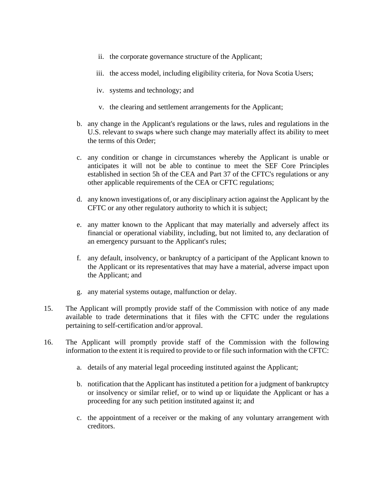- ii. the corporate governance structure of the Applicant;
- iii. the access model, including eligibility criteria, for Nova Scotia Users;
- iv. systems and technology; and
- v. the clearing and settlement arrangements for the Applicant;
- b. any change in the Applicant's regulations or the laws, rules and regulations in the U.S. relevant to swaps where such change may materially affect its ability to meet the terms of this Order;
- c. any condition or change in circumstances whereby the Applicant is unable or anticipates it will not be able to continue to meet the SEF Core Principles established in section 5h of the CEA and Part 37 of the CFTC's regulations or any other applicable requirements of the CEA or CFTC regulations;
- d. any known investigations of, or any disciplinary action against the Applicant by the CFTC or any other regulatory authority to which it is subject;
- e. any matter known to the Applicant that may materially and adversely affect its financial or operational viability, including, but not limited to, any declaration of an emergency pursuant to the Applicant's rules;
- f. any default, insolvency, or bankruptcy of a participant of the Applicant known to the Applicant or its representatives that may have a material, adverse impact upon the Applicant; and
- g. any material systems outage, malfunction or delay.
- 15. The Applicant will promptly provide staff of the Commission with notice of any made available to trade determinations that it files with the CFTC under the regulations pertaining to self-certification and/or approval.
- 16. The Applicant will promptly provide staff of the Commission with the following information to the extent it is required to provide to or file such information with the CFTC:
	- a. details of any material legal proceeding instituted against the Applicant;
	- b. notification that the Applicant has instituted a petition for a judgment of bankruptcy or insolvency or similar relief, or to wind up or liquidate the Applicant or has a proceeding for any such petition instituted against it; and
	- c. the appointment of a receiver or the making of any voluntary arrangement with creditors.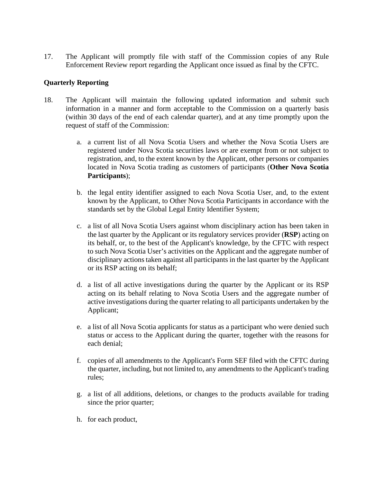17. The Applicant will promptly file with staff of the Commission copies of any Rule Enforcement Review report regarding the Applicant once issued as final by the CFTC.

## **Quarterly Reporting**

- 18. The Applicant will maintain the following updated information and submit such information in a manner and form acceptable to the Commission on a quarterly basis (within 30 days of the end of each calendar quarter), and at any time promptly upon the request of staff of the Commission:
	- a. a current list of all Nova Scotia Users and whether the Nova Scotia Users are registered under Nova Scotia securities laws or are exempt from or not subject to registration, and, to the extent known by the Applicant, other persons or companies located in Nova Scotia trading as customers of participants (**Other Nova Scotia Participants**);
	- b. the legal entity identifier assigned to each Nova Scotia User, and, to the extent known by the Applicant, to Other Nova Scotia Participants in accordance with the standards set by the Global Legal Entity Identifier System;
	- c. a list of all Nova Scotia Users against whom disciplinary action has been taken in the last quarter by the Applicant or its regulatory services provider (**RSP**) acting on its behalf, or, to the best of the Applicant's knowledge, by the CFTC with respect to such Nova Scotia User's activities on the Applicant and the aggregate number of disciplinary actions taken against all participants in the last quarter by the Applicant or its RSP acting on its behalf;
	- d. a list of all active investigations during the quarter by the Applicant or its RSP acting on its behalf relating to Nova Scotia Users and the aggregate number of active investigations during the quarter relating to all participants undertaken by the Applicant;
	- e. a list of all Nova Scotia applicants for status as a participant who were denied such status or access to the Applicant during the quarter, together with the reasons for each denial;
	- f. copies of all amendments to the Applicant's Form SEF filed with the CFTC during the quarter, including, but not limited to, any amendments to the Applicant's trading rules;
	- g. a list of all additions, deletions, or changes to the products available for trading since the prior quarter;
	- h. for each product,